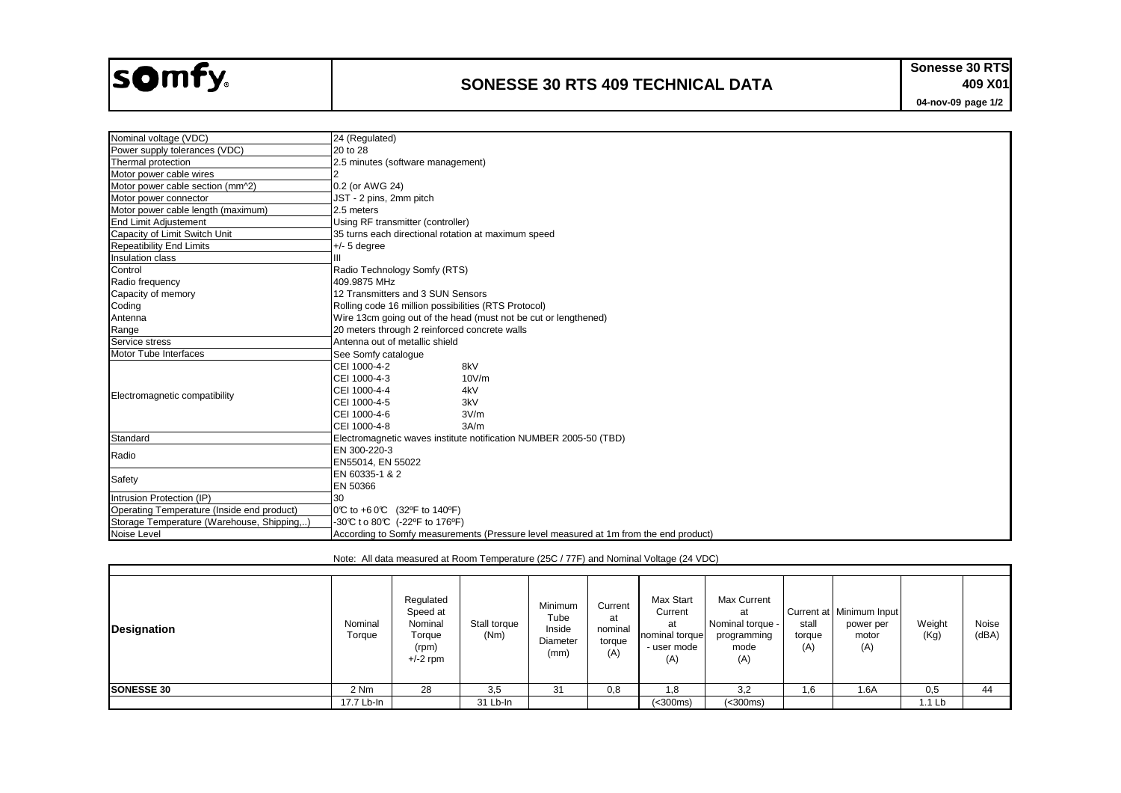## somfy.

 $\sim$  100  $\mu$ 

## **SONESSE 30 RTS 409 TECHNICAL DATA**

**04-nov-09 page 1/2 Sonesse 30 RTS 409 X01**

٦

| Nominal voltage (VDC)                      | 24 (Regulated)                                                                       |  |  |  |  |  |
|--------------------------------------------|--------------------------------------------------------------------------------------|--|--|--|--|--|
| Power supply tolerances (VDC)              | 20 to 28                                                                             |  |  |  |  |  |
| Thermal protection                         | 2.5 minutes (software management)                                                    |  |  |  |  |  |
| Motor power cable wires                    |                                                                                      |  |  |  |  |  |
| Motor power cable section (mm^2)           | 0.2 (or AWG 24)                                                                      |  |  |  |  |  |
| Motor power connector                      | JST - 2 pins, 2mm pitch                                                              |  |  |  |  |  |
| Motor power cable length (maximum)         | 2.5 meters                                                                           |  |  |  |  |  |
| <b>End Limit Adjustement</b>               | Using RF transmitter (controller)                                                    |  |  |  |  |  |
| Capacity of Limit Switch Unit              | 35 turns each directional rotation at maximum speed                                  |  |  |  |  |  |
| <b>Repeatibility End Limits</b>            | $+/- 5$ degree                                                                       |  |  |  |  |  |
| Insulation class                           |                                                                                      |  |  |  |  |  |
| Control                                    | Radio Technology Somfy (RTS)                                                         |  |  |  |  |  |
| Radio frequency                            | 409.9875 MHz                                                                         |  |  |  |  |  |
| Capacity of memory                         | 12 Transmitters and 3 SUN Sensors                                                    |  |  |  |  |  |
| Coding                                     | Rolling code 16 million possibilities (RTS Protocol)                                 |  |  |  |  |  |
| Antenna                                    | Wire 13cm going out of the head (must not be cut or lengthened)                      |  |  |  |  |  |
| Range                                      | 20 meters through 2 reinforced concrete walls                                        |  |  |  |  |  |
| Service stress                             | Antenna out of metallic shield                                                       |  |  |  |  |  |
| Motor Tube Interfaces                      | See Somfy catalogue                                                                  |  |  |  |  |  |
|                                            | CEI 1000-4-2<br>8kV                                                                  |  |  |  |  |  |
|                                            | CEI 1000-4-3<br>10V/m                                                                |  |  |  |  |  |
| Electromagnetic compatibility              | CEI 1000-4-4<br>4kV                                                                  |  |  |  |  |  |
|                                            | 3kV<br>CEI 1000-4-5                                                                  |  |  |  |  |  |
|                                            | CEI 1000-4-6<br>3V/m                                                                 |  |  |  |  |  |
|                                            | CEI 1000-4-8<br>3A/m                                                                 |  |  |  |  |  |
| Standard                                   | Electromagnetic waves institute notification NUMBER 2005-50 (TBD)                    |  |  |  |  |  |
| Radio                                      | EN 300-220-3                                                                         |  |  |  |  |  |
|                                            | EN55014, EN 55022                                                                    |  |  |  |  |  |
| Safety                                     | EN 60335-1 & 2                                                                       |  |  |  |  |  |
|                                            | EN 50366                                                                             |  |  |  |  |  |
| Intrusion Protection (IP)                  | 30                                                                                   |  |  |  |  |  |
| Operating Temperature (Inside end product) | 0°C to +6 0°C (32°F to 140°F)                                                        |  |  |  |  |  |
| Storage Temperature (Warehouse, Shipping,) | -30°C to 80°C (-22°F to 176°F)                                                       |  |  |  |  |  |
| Noise Level                                | According to Somfy measurements (Pressure level measured at 1m from the end product) |  |  |  |  |  |

Note: All data measured at Room Temperature (25C / 77F) and Nominal Voltage (24 VDC)

| <b>Designation</b> | Nominal<br>Torque | Regulated<br>Speed at<br>Nominal<br>Torque<br>(rpm)<br>$+/-2$ rpm | Stall torque<br>(Nm) | Minimum<br>Tube<br>Inside<br>Diameter<br>(mm) | Current<br>at<br>nominal<br>torque<br>(A) | Max Start<br>Current<br>at<br>nominal torque<br>- user mode<br>(A) | Max Current<br>at<br>Nominal torque -<br>programming<br>mode<br>(A) | stall<br>torque<br>(A) | Current at   Minimum Input  <br>power per<br>motor<br>(A) | Weight<br>(Kg) | Noise<br>(dBA) |
|--------------------|-------------------|-------------------------------------------------------------------|----------------------|-----------------------------------------------|-------------------------------------------|--------------------------------------------------------------------|---------------------------------------------------------------------|------------------------|-----------------------------------------------------------|----------------|----------------|
| <b>SONESSE 30</b>  | 2 Nm              | 28                                                                | 3,5                  | 31                                            | 0,8                                       | 1,8                                                                | 3,2                                                                 | 6, ا                   | 1.6A                                                      | 0,5            | 44             |
|                    | 17.7 Lb-In        |                                                                   | 31 Lb-In             |                                               |                                           | (<300ms)                                                           | (< 300ms)                                                           |                        |                                                           | 1.1 Lb         |                |